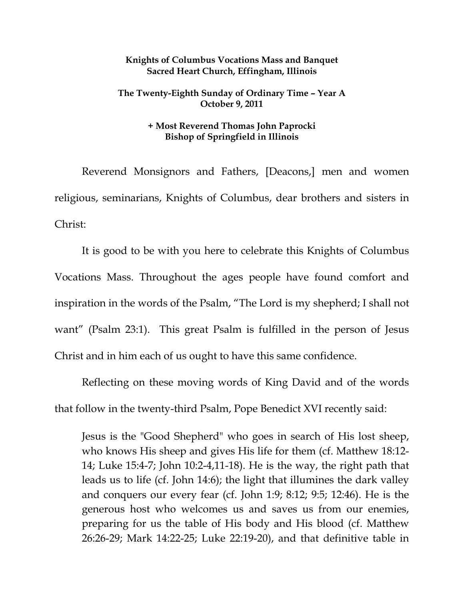## **Knights of Columbus Vocations Mass and Banquet Sacred Heart Church, Effingham, Illinois**

## **The Twenty-Eighth Sunday of Ordinary Time – Year A October 9, 2011**

## **+ Most Reverend Thomas John Paprocki Bishop of Springfield in Illinois**

 Reverend Monsignors and Fathers, [Deacons,] men and women religious, seminarians, Knights of Columbus, dear brothers and sisters in Christ:

 It is good to be with you here to celebrate this Knights of Columbus Vocations Mass. Throughout the ages people have found comfort and inspiration in the words of the Psalm, "The Lord is my shepherd; I shall not want" (Psalm 23:1). This great Psalm is fulfilled in the person of Jesus Christ and in him each of us ought to have this same confidence.

Reflecting on these moving words of King David and of the words that follow in the twenty-third Psalm, Pope Benedict XVI recently said:

Jesus is the "Good Shepherd" who goes in search of His lost sheep, who knows His sheep and gives His life for them (cf. Matthew 18:12- 14; Luke 15:4-7; John 10:2-4,11-18). He is the way, the right path that leads us to life (cf. John 14:6); the light that illumines the dark valley and conquers our every fear (cf. John 1:9; 8:12; 9:5; 12:46). He is the generous host who welcomes us and saves us from our enemies, preparing for us the table of His body and His blood (cf. Matthew 26:26-29; Mark 14:22-25; Luke 22:19-20), and that definitive table in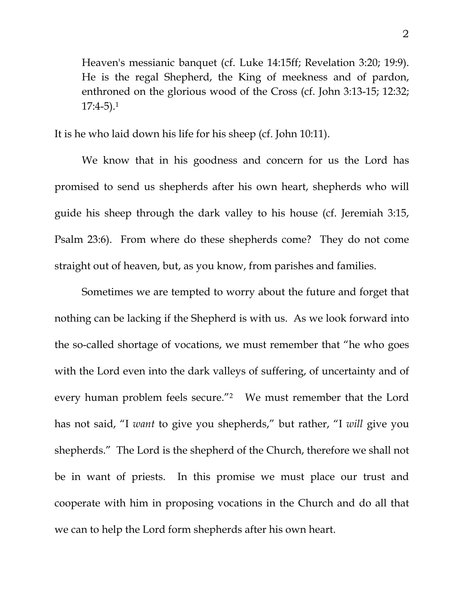Heaven's messianic banquet (cf. Luke 14:15ff; Revelation 3:20; 19:9). He is the regal Shepherd, the King of meekness and of pardon, enthroned on the glorious wood of the Cross (cf. John 3:13-15; 12:32;  $17:4-5$ ).<sup>1</sup>

It is he who laid down his life for his sheep (cf. John 10:11).

 We know that in his goodness and concern for us the Lord has promised to send us shepherds after his own heart, shepherds who will guide his sheep through the dark valley to his house (cf. Jeremiah 3:15, Psalm 23:6). From where do these shepherds come? They do not come straight out of heaven, but, as you know, from parishes and families.

 Sometimes we are tempted to worry about the future and forget that nothing can be lacking if the Shepherd is with us. As we look forward into the so-called shortage of vocations, we must remember that "he who goes with the Lord even into the dark valleys of suffering, of uncertainty and of every human problem feels secure."2 We must remember that the Lord has not said, "I *want* to give you shepherds," but rather, "I *will* give you shepherds." The Lord is the shepherd of the Church, therefore we shall not be in want of priests. In this promise we must place our trust and cooperate with him in proposing vocations in the Church and do all that we can to help the Lord form shepherds after his own heart.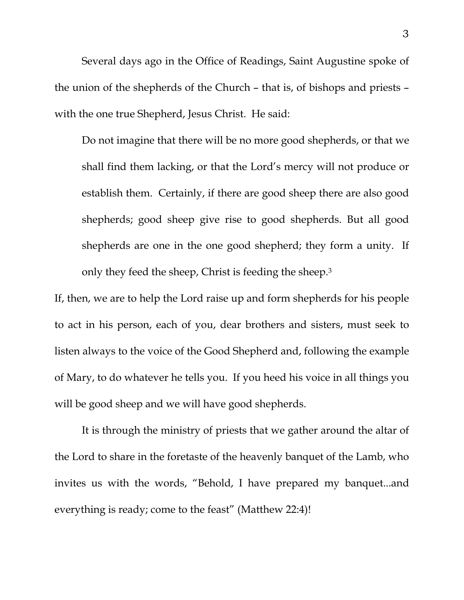Several days ago in the Office of Readings, Saint Augustine spoke of the union of the shepherds of the Church – that is, of bishops and priests – with the one true Shepherd, Jesus Christ. He said:

Do not imagine that there will be no more good shepherds, or that we shall find them lacking, or that the Lord's mercy will not produce or establish them. Certainly, if there are good sheep there are also good shepherds; good sheep give rise to good shepherds. But all good shepherds are one in the one good shepherd; they form a unity. If only they feed the sheep, Christ is feeding the sheep.3

If, then, we are to help the Lord raise up and form shepherds for his people to act in his person, each of you, dear brothers and sisters, must seek to listen always to the voice of the Good Shepherd and, following the example of Mary, to do whatever he tells you. If you heed his voice in all things you will be good sheep and we will have good shepherds.

It is through the ministry of priests that we gather around the altar of the Lord to share in the foretaste of the heavenly banquet of the Lamb, who invites us with the words, "Behold, I have prepared my banquet...and everything is ready; come to the feast" (Matthew 22:4)!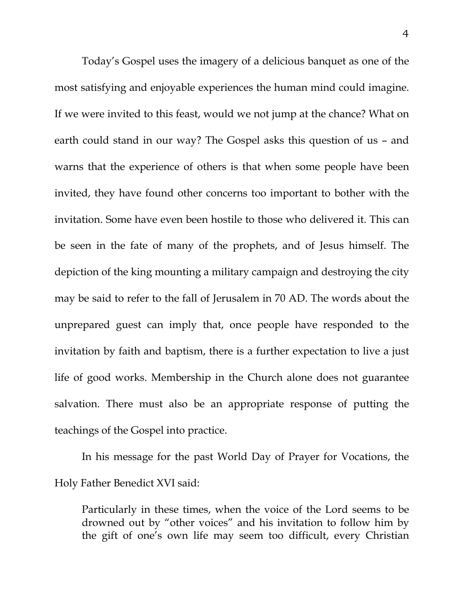Today's Gospel uses the imagery of a delicious banquet as one of the most satisfying and enjoyable experiences the human mind could imagine. If we were invited to this feast, would we not jump at the chance? What on earth could stand in our way? The Gospel asks this question of us – and warns that the experience of others is that when some people have been invited, they have found other concerns too important to bother with the invitation. Some have even been hostile to those who delivered it. This can be seen in the fate of many of the prophets, and of Jesus himself. The depiction of the king mounting a military campaign and destroying the city may be said to refer to the fall of Jerusalem in 70 AD. The words about the unprepared guest can imply that, once people have responded to the invitation by faith and baptism, there is a further expectation to live a just life of good works. Membership in the Church alone does not guarantee salvation. There must also be an appropriate response of putting the teachings of the Gospel into practice.

In his message for the past World Day of Prayer for Vocations, the Holy Father Benedict XVI said:

Particularly in these times, when the voice of the Lord seems to be drowned out by "other voices" and his invitation to follow him by the gift of one's own life may seem too difficult, every Christian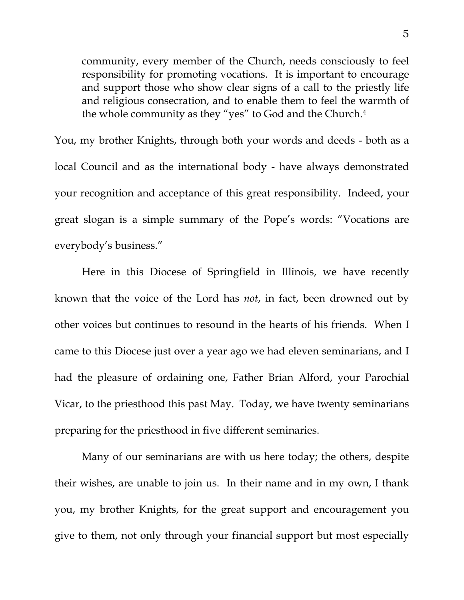community, every member of the Church, needs consciously to feel responsibility for promoting vocations. It is important to encourage and support those who show clear signs of a call to the priestly life and religious consecration, and to enable them to feel the warmth of the whole community as they "yes" to God and the Church.4

You, my brother Knights, through both your words and deeds - both as a local Council and as the international body - have always demonstrated your recognition and acceptance of this great responsibility. Indeed, your great slogan is a simple summary of the Pope's words: "Vocations are everybody's business."

 Here in this Diocese of Springfield in Illinois, we have recently known that the voice of the Lord has *not*, in fact, been drowned out by other voices but continues to resound in the hearts of his friends. When I came to this Diocese just over a year ago we had eleven seminarians, and I had the pleasure of ordaining one, Father Brian Alford, your Parochial Vicar, to the priesthood this past May. Today, we have twenty seminarians preparing for the priesthood in five different seminaries.

 Many of our seminarians are with us here today; the others, despite their wishes, are unable to join us. In their name and in my own, I thank you, my brother Knights, for the great support and encouragement you give to them, not only through your financial support but most especially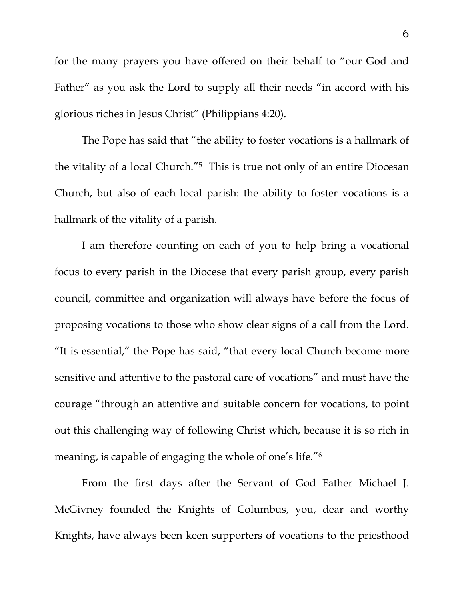for the many prayers you have offered on their behalf to "our God and Father" as you ask the Lord to supply all their needs "in accord with his glorious riches in Jesus Christ" (Philippians 4:20).

 The Pope has said that "the ability to foster vocations is a hallmark of the vitality of a local Church."5 This is true not only of an entire Diocesan Church, but also of each local parish: the ability to foster vocations is a hallmark of the vitality of a parish.

 I am therefore counting on each of you to help bring a vocational focus to every parish in the Diocese that every parish group, every parish council, committee and organization will always have before the focus of proposing vocations to those who show clear signs of a call from the Lord. "It is essential," the Pope has said, "that every local Church become more sensitive and attentive to the pastoral care of vocations" and must have the courage "through an attentive and suitable concern for vocations, to point out this challenging way of following Christ which, because it is so rich in meaning, is capable of engaging the whole of one's life."6

From the first days after the Servant of God Father Michael J. McGivney founded the Knights of Columbus, you, dear and worthy Knights, have always been keen supporters of vocations to the priesthood